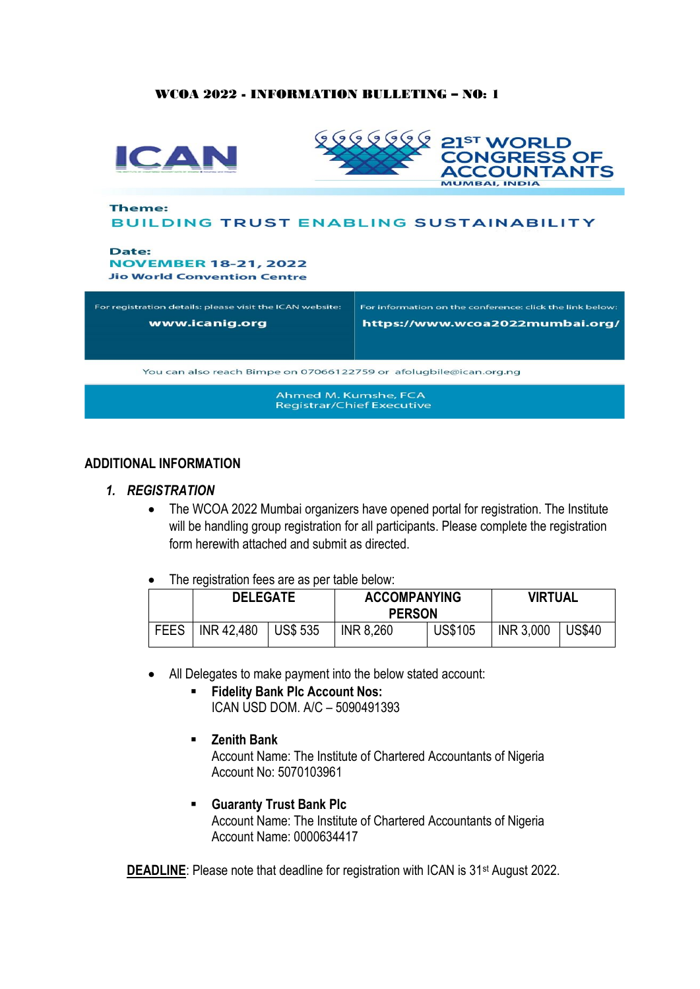#### WCOA 2022 - INFORMATION BULLETING – NO: 1



#### **ADDITIONAL INFORMATION**

#### *1. REGISTRATION*

- The WCOA 2022 Mumbai organizers have opened portal for registration. The Institute will be handling group registration for all participants. Please complete the registration form herewith attached and submit as directed.
- The registration fees are as per table below:

|             | <b>DELEGATE</b> |                  | <b>ACCOMPANYING</b><br><b>PERSON</b> |                | <b>VIRTUAL</b>   |               |
|-------------|-----------------|------------------|--------------------------------------|----------------|------------------|---------------|
| <b>FEES</b> | INR 42,480      | $\vert$ US\$ 535 | <b>INR 8,260</b>                     | <b>US\$105</b> | <b>INR 3,000</b> | <b>US\$40</b> |

- All Delegates to make payment into the below stated account:
	- **Fidelity Bank Plc Account Nos:** ICAN USD DOM. A/C – 5090491393
	- **Zenith Bank**

Account Name: The Institute of Chartered Accountants of Nigeria Account No: 5070103961

▪ **Guaranty Trust Bank Plc** Account Name: The Institute of Chartered Accountants of Nigeria Account Name: 0000634417

**DEADLINE:** Please note that deadline for registration with ICAN is 31<sup>st</sup> August 2022.